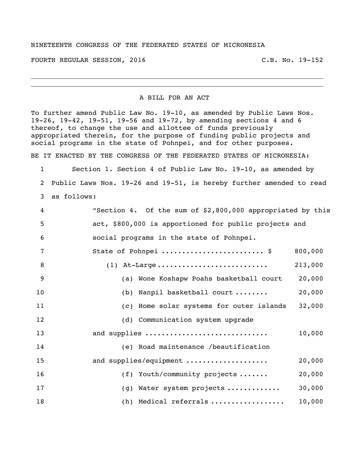## NINETEENTH CONGRESS OF THE FEDERATED STATES OF MICRONESIA

FOURTH REGULAR SESSION, 2016 C.B. No. 19-152

## A BILL FOR AN ACT

To further amend Public Law No. 19-10, as amended by Public Laws Nos. 19-26, 19-42, 19-51, 19-56 and 19-72, by amending sections 4 and 6 thereof, to change the use and allottee of funds previously appropriated therein, for the purpose of funding public projects and social programs in the state of Pohnpei, and for other purposes. BE IT ENACTED BY THE CONGRESS OF THE FEDERATED STATES OF MICRONESIA:

 Section 1. Section 4 of Public Law No. 19-10, as amended by Public Laws Nos. 19-26 and 19-51, is hereby further amended to read as follows:

| 4  | "Section 4. Of the sum of \$2,800,000 appropriated by this |         |
|----|------------------------------------------------------------|---------|
| 5  | act, \$800,000 is apportioned for public projects and      |         |
| 6  | social programs in the state of Pohnpei.                   |         |
| 7  | State of Pohnpei  \$                                       | 800,000 |
| 8  | $(1)$ At-Large                                             | 213,000 |
| 9  | (a) Wone Koshapw Poahs basketball court                    | 20,000  |
| 10 | (b) Nanpil basketball court                                | 20,000  |
| 11 | (c) Home solar systems for outer islands                   | 32,000  |
| 12 | (d) Communication system upgrade                           |         |
| 13 | and supplies                                               | 10,000  |
| 14 | (e) Road maintenance /beautification                       |         |
| 15 | and supplies/equipment                                     | 20,000  |
| 16 | (f) Youth/community projects                               | 20,000  |
| 17 | (g) Water system projects                                  | 30,000  |
| 18 | (h) Medical referrals                                      | 10,000  |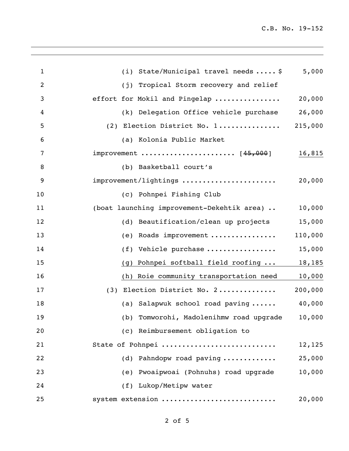| $\mathbf{1}$ | (i) State/Municipal travel needs $\ldots$ , \$ | 5,000   |
|--------------|------------------------------------------------|---------|
| 2            | Tropical Storm recovery and relief<br>(i)      |         |
| 3            | effort for Mokil and Pingelap                  | 20,000  |
| 4            | (k) Delegation Office vehicle purchase         | 26,000  |
| 5            | (2) Election District No. 1                    | 215,000 |
| 6            | (a) Kolonia Public Market                      |         |
| 7            | improvement  [45,000]                          | 16,815  |
| 8            | (b) Basketball court's                         |         |
| 9            | improvement/lightings                          | 20,000  |
| 10           | (c) Pohnpei Fishing Club                       |         |
| 11           | (boat launching improvement-Dekehtik area)     | 10,000  |
| 12           | (d) Beautification/clean up projects           | 15,000  |
| 13           | Roads improvement<br>(e)                       | 110,000 |
| 14           | Vehicle purchase<br>(f)                        | 15,000  |
| 15           | Pohnpei softball field roofing<br>(g)          | 18,185  |
| 16           | (h) Roie community transportation need         | 10,000  |
| 17           | (3) Election District No. 2                    | 200,000 |
| 18           | (a) Salapwuk school road paving                | 40,000  |
| 19           | (b) Tomworohi, Madolenihmw road upgrade        | 10,000  |
| 20           | (c) Reimbursement obligation to                |         |
| 21           | State of Pohnpei                               | 12,125  |
| 22           | (d) Pahndopw road paving                       | 25,000  |
| 23           | (e) Pwoaipwoai (Pohnuhs) road upgrade          | 10,000  |
| 24           | (f) Lukop/Metipw water                         |         |
| 25           | system extension                               | 20,000  |
|              |                                                |         |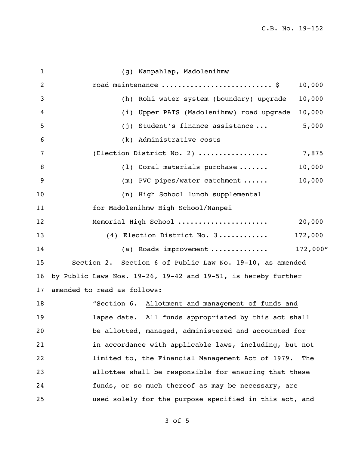| 1  |                                                               | (g) Nanpahlap, Madolenihmw                               |         |
|----|---------------------------------------------------------------|----------------------------------------------------------|---------|
| 2  |                                                               | road maintenance  \$                                     | 10,000  |
| 3  |                                                               | (h) Rohi water system (boundary) upgrade                 | 10,000  |
| 4  |                                                               | (i) Upper PATS (Madolenihmw) road upgrade                | 10,000  |
| 5  | (j)                                                           | Student's finance assistance                             | 5,000   |
| 6  |                                                               | (k) Administrative costs                                 |         |
| 7  |                                                               | (Election District No. 2)                                | 7,875   |
| 8  |                                                               | $(1)$ Coral materials purchase                           | 10,000  |
| 9  |                                                               | (m) PVC pipes/water catchment                            | 10,000  |
| 10 |                                                               | (n) High School lunch supplemental                       |         |
| 11 |                                                               | for Madolenihmw High School/Nanpei                       |         |
| 12 |                                                               | Memorial High School                                     | 20,000  |
| 13 |                                                               | (4) Election District No. 3                              | 172,000 |
| 14 |                                                               | (a) Roads improvement  172,000"                          |         |
| 15 |                                                               | Section 2. Section 6 of Public Law No. 19-10, as amended |         |
| 16 | by Public Laws Nos. 19-26, 19-42 and 19-51, is hereby further |                                                          |         |
| 17 | amended to read as follows:                                   |                                                          |         |
| 18 |                                                               | "Section 6. Allotment and management of funds and        |         |
| 19 |                                                               | lapse date. All funds appropriated by this act shall     |         |
| 20 |                                                               | be allotted, managed, administered and accounted for     |         |
| 21 |                                                               | in accordance with applicable laws, including, but not   |         |
| 22 |                                                               | limited to, the Financial Management Act of 1979.        | The     |
| 23 |                                                               | allottee shall be responsible for ensuring that these    |         |
| 24 |                                                               | funds, or so much thereof as may be necessary, are       |         |
| 25 |                                                               | used solely for the purpose specified in this act, and   |         |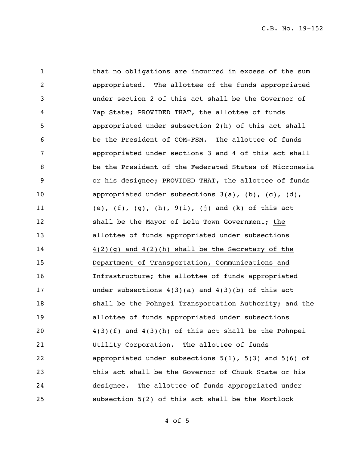C.B. No. 19-152

1 that no obligations are incurred in excess of the sum appropriated. The allottee of the funds appropriated under section 2 of this act shall be the Governor of Yap State; PROVIDED THAT, the allottee of funds appropriated under subsection 2(h) of this act shall be the President of COM-FSM. The allottee of funds appropriated under sections 3 and 4 of this act shall be the President of the Federated States of Micronesia or his designee; PROVIDED THAT, the allottee of funds 10 appropriated under subsections 3(a), (b), (c), (d), (e), (f), (g), (h), 9(i), (j) and (k) of this act shall be the Mayor of Lelu Town Government; the allottee of funds appropriated under subsections 4(2)(g) and 4(2)(h) shall be the Secretary of the Department of Transportation, Communications and Infrastructure; the allottee of funds appropriated under subsections 4(3)(a) and 4(3)(b) of this act 18 shall be the Pohnpei Transportation Authority; and the allottee of funds appropriated under subsections  $4(3)(f)$  and  $4(3)(h)$  of this act shall be the Pohnpei Utility Corporation. The allottee of funds appropriated under subsections 5(1), 5(3) and 5(6) of this act shall be the Governor of Chuuk State or his designee. The allottee of funds appropriated under subsection 5(2) of this act shall be the Mortlock

of 5